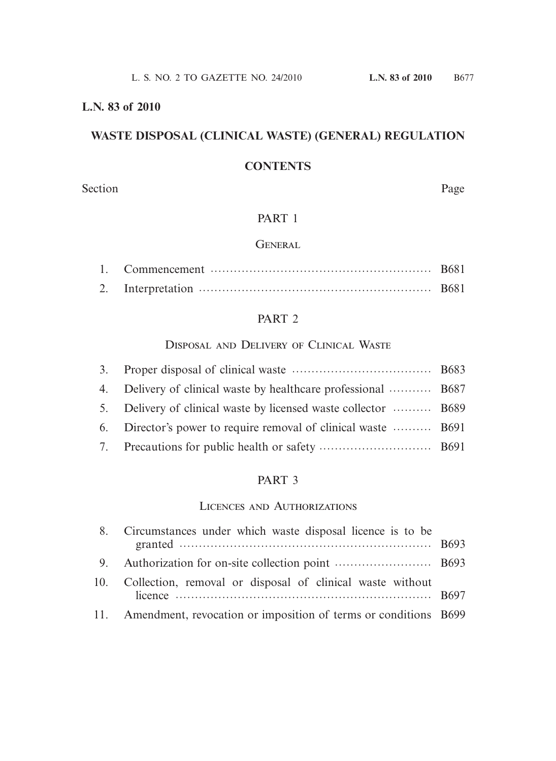#### **L.N. 83 of 2010**

# **WASTE DISPOSAL (CLINICAL WASTE) (GENERAL) REGULATION**

## **CONTENTS**

Section Page

# PART 1

#### **GENERAL**

### PART 2

#### Disposal and Delivery of Clinical Waste

|    | 4. Delivery of clinical waste by healthcare professional  B687  |  |
|----|-----------------------------------------------------------------|--|
|    | 5. Delivery of clinical waste by licensed waste collector  B689 |  |
|    | 6. Director's power to require removal of clinical waste  B691  |  |
| 7. |                                                                 |  |
|    |                                                                 |  |

#### PART 3

#### Licences and Authorizations

|  | Circumstances under which waste disposal licence is to be       |  |
|--|-----------------------------------------------------------------|--|
|  |                                                                 |  |
|  | Collection, removal or disposal of clinical waste without       |  |
|  | Amendment, revocation or imposition of terms or conditions B699 |  |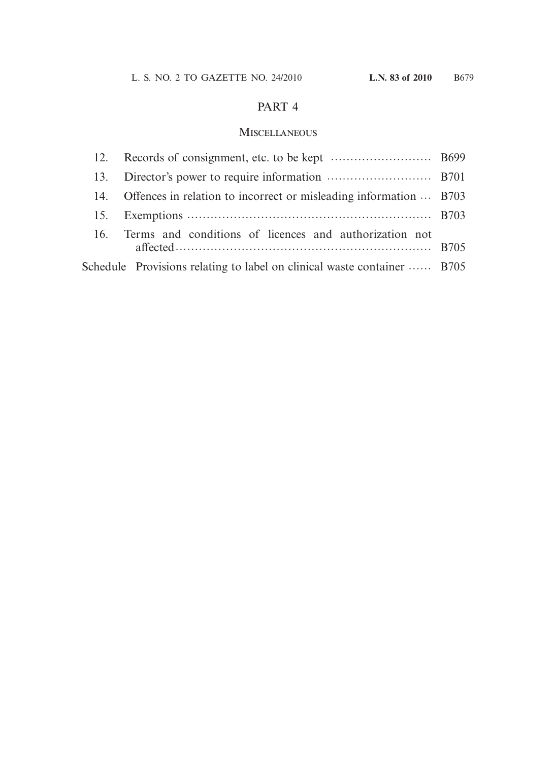### PART 4

### Miscellaneous

| 12. |                                                                         |  |
|-----|-------------------------------------------------------------------------|--|
| 13. |                                                                         |  |
| 14. | Offences in relation to incorrect or misleading information  B703       |  |
| 15. |                                                                         |  |
|     | 16. Terms and conditions of licences and authorization not              |  |
|     | Schedule Provisions relating to label on clinical waste container  B705 |  |
|     |                                                                         |  |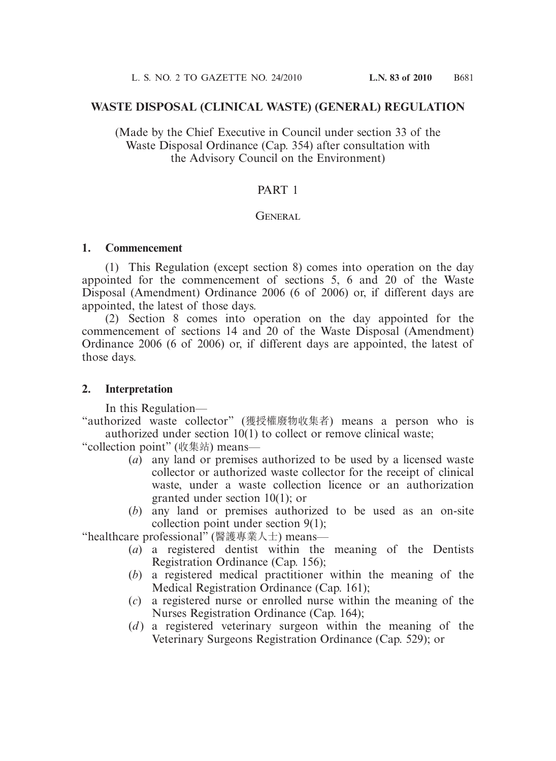#### **WASTE DISPOSAL (CLINICAL WASTE) (GENERAL) REGULATION**

(Made by the Chief Executive in Council under section 33 of the Waste Disposal Ordinance (Cap. 354) after consultation with the Advisory Council on the Environment)

### PART 1

#### **GENERAL**

#### **1. Commencement**

 (1) This Regulation (except section 8) comes into operation on the day appointed for the commencement of sections 5, 6 and 20 of the Waste Disposal (Amendment) Ordinance 2006 (6 of 2006) or, if different days are appointed, the latest of those days.

 (2) Section 8 comes into operation on the day appointed for the commencement of sections 14 and 20 of the Waste Disposal (Amendment) Ordinance 2006 (6 of 2006) or, if different days are appointed, the latest of those days.

#### **2. Interpretation**

In this Regulation—

"authorized waste collector" (獲授權廢物收集者) means a person who is authorized under section 10(1) to collect or remove clinical waste;

"collection point" (收集站) means—

- (*a*) any land or premises authorized to be used by a licensed waste collector or authorized waste collector for the receipt of clinical waste, under a waste collection licence or an authorization granted under section 10(1); or
- (*b*) any land or premises authorized to be used as an on-site collection point under section 9(1);

"healthcare professional" (醫護專業人士) means—

- (*a*) a registered dentist within the meaning of the Dentists Registration Ordinance (Cap. 156);
- (*b*) a registered medical practitioner within the meaning of the Medical Registration Ordinance (Cap. 161);
- (*c*) a registered nurse or enrolled nurse within the meaning of the Nurses Registration Ordinance (Cap. 164);
- (*d*) a registered veterinary surgeon within the meaning of the Veterinary Surgeons Registration Ordinance (Cap. 529); or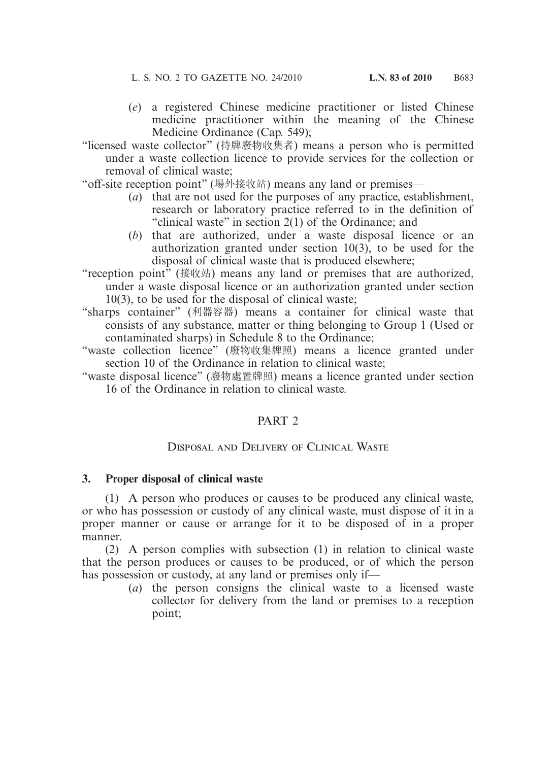- (*e*) a registered Chinese medicine practitioner or listed Chinese medicine practitioner within the meaning of the Chinese Medicine Ordinance (Cap. 549);
- "licensed waste collector" (持牌廢物收集者) means a person who is permitted under a waste collection licence to provide services for the collection or removal of clinical waste;

"off-site reception point" (場外接收站) means any land or premises—

- (*a*) that are not used for the purposes of any practice, establishment, research or laboratory practice referred to in the definition of "clinical waste" in section 2(1) of the Ordinance; and
- (*b*) that are authorized, under a waste disposal licence or an authorization granted under section 10(3), to be used for the disposal of clinical waste that is produced elsewhere;
- "reception point" (接收站) means any land or premises that are authorized, under a waste disposal licence or an authorization granted under section 10(3), to be used for the disposal of clinical waste;
- "sharps container" (利器容器) means a container for clinical waste that consists of any substance, matter or thing belonging to Group 1 (Used or contaminated sharps) in Schedule 8 to the Ordinance;
- "waste collection licence" (廢物收集牌照) means a licence granted under section 10 of the Ordinance in relation to clinical waste;
- "waste disposal licence" (廢物處置牌照) means a licence granted under section 16 of the Ordinance in relation to clinical waste.

### PART 2

### Disposal and Delivery of Clinical Waste

### **3. Proper disposal of clinical waste**

 (1) A person who produces or causes to be produced any clinical waste, or who has possession or custody of any clinical waste, must dispose of it in a proper manner or cause or arrange for it to be disposed of in a proper manner.

 (2) A person complies with subsection (1) in relation to clinical waste that the person produces or causes to be produced, or of which the person has possession or custody, at any land or premises only if—

(*a*) the person consigns the clinical waste to a licensed waste collector for delivery from the land or premises to a reception point;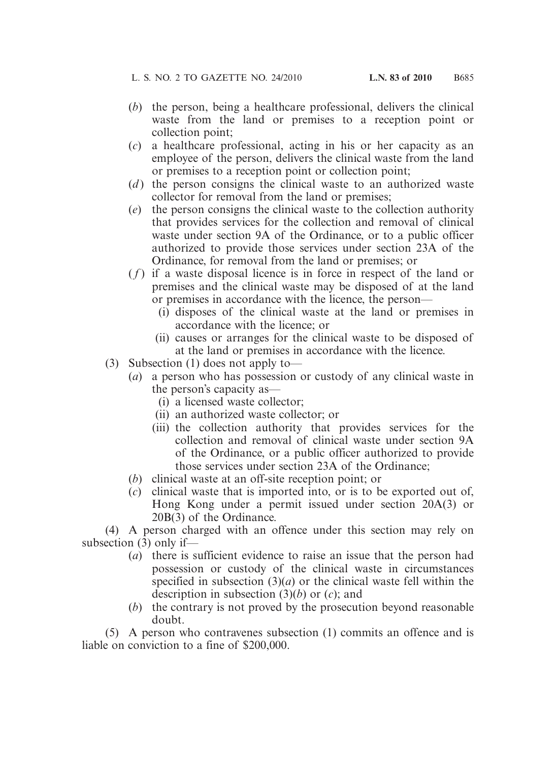- (*b*) the person, being a healthcare professional, delivers the clinical waste from the land or premises to a reception point or collection point;
- (*c*) a healthcare professional, acting in his or her capacity as an employee of the person, delivers the clinical waste from the land or premises to a reception point or collection point;
- (*d*) the person consigns the clinical waste to an authorized waste collector for removal from the land or premises;
- (*e*) the person consigns the clinical waste to the collection authority that provides services for the collection and removal of clinical waste under section 9A of the Ordinance, or to a public officer authorized to provide those services under section 23A of the Ordinance, for removal from the land or premises; or
- $(f)$  if a waste disposal licence is in force in respect of the land or premises and the clinical waste may be disposed of at the land or premises in accordance with the licence, the person—
	- (i) disposes of the clinical waste at the land or premises in accordance with the licence; or
	- (ii) causes or arranges for the clinical waste to be disposed of at the land or premises in accordance with the licence.
- (3) Subsection (1) does not apply to—
	- (*a*) a person who has possession or custody of any clinical waste in the person's capacity as—
		- (i) a licensed waste collector;
		- (ii) an authorized waste collector; or
		- (iii) the collection authority that provides services for the collection and removal of clinical waste under section 9A of the Ordinance, or a public officer authorized to provide those services under section 23A of the Ordinance;
	- (*b*) clinical waste at an off-site reception point; or
	- (*c*) clinical waste that is imported into, or is to be exported out of, Hong Kong under a permit issued under section 20A(3) or 20B(3) of the Ordinance.

 (4) A person charged with an offence under this section may rely on subsection (3) only if—

- (*a*) there is sufficient evidence to raise an issue that the person had possession or custody of the clinical waste in circumstances specified in subsection  $(3)(a)$  or the clinical waste fell within the description in subsection (3)(*b*) or (*c*); and
- (*b*) the contrary is not proved by the prosecution beyond reasonable doubt.

 (5) A person who contravenes subsection (1) commits an offence and is liable on conviction to a fine of \$200,000.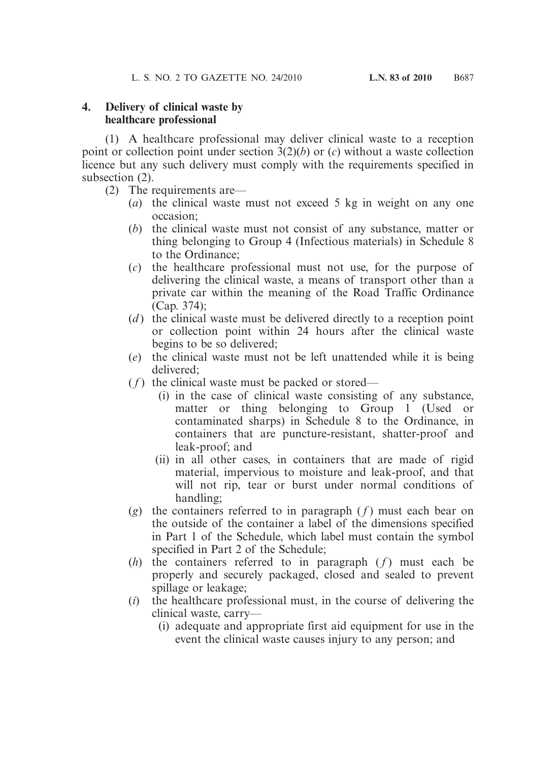#### **4. Delivery of clinical waste by healthcare professional**

 (1) A healthcare professional may deliver clinical waste to a reception point or collection point under section 3(2)(*b*) or (*c*) without a waste collection licence but any such delivery must comply with the requirements specified in subsection (2).

- (2) The requirements are—
	- (*a*) the clinical waste must not exceed 5 kg in weight on any one occasion;
	- (*b*) the clinical waste must not consist of any substance, matter or thing belonging to Group 4 (Infectious materials) in Schedule 8 to the Ordinance;
	- (*c*) the healthcare professional must not use, for the purpose of delivering the clinical waste, a means of transport other than a private car within the meaning of the Road Traffic Ordinance (Cap. 374);
	- (*d*) the clinical waste must be delivered directly to a reception point or collection point within 24 hours after the clinical waste begins to be so delivered;
	- (*e*) the clinical waste must not be left unattended while it is being delivered;
	- $(f)$  the clinical waste must be packed or stored—
		- (i) in the case of clinical waste consisting of any substance, matter or thing belonging to Group 1 (Used or contaminated sharps) in Schedule 8 to the Ordinance, in containers that are puncture-resistant, shatter-proof and leak-proof; and
		- (ii) in all other cases, in containers that are made of rigid material, impervious to moisture and leak-proof, and that will not rip, tear or burst under normal conditions of handling;
	- (*g*) the containers referred to in paragraph  $(f)$  must each bear on the outside of the container a label of the dimensions specified in Part 1 of the Schedule, which label must contain the symbol specified in Part 2 of the Schedule;
	- $(h)$  the containers referred to in paragraph  $(f)$  must each be properly and securely packaged, closed and sealed to prevent spillage or leakage;
	- (*i*) the healthcare professional must, in the course of delivering the clinical waste, carry—
		- (i) adequate and appropriate first aid equipment for use in the event the clinical waste causes injury to any person; and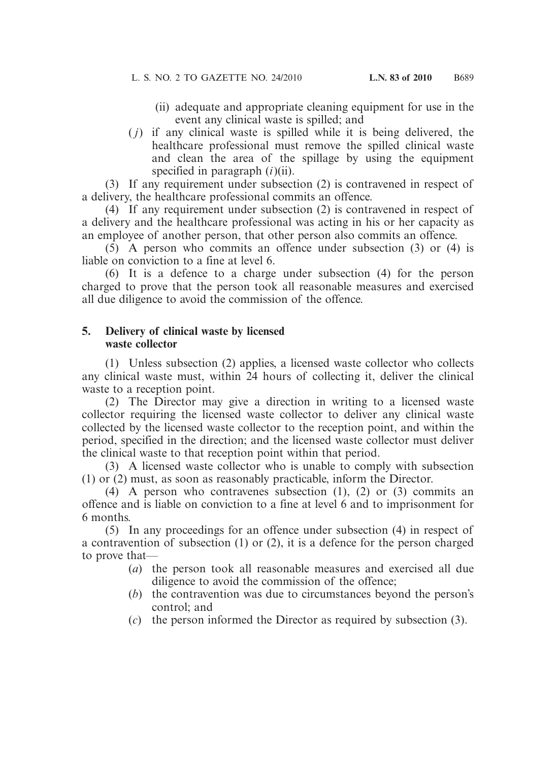- (ii) adequate and appropriate cleaning equipment for use in the event any clinical waste is spilled; and
- ( *j*) if any clinical waste is spilled while it is being delivered, the healthcare professional must remove the spilled clinical waste and clean the area of the spillage by using the equipment specified in paragraph (*i*)(ii).

 (3) If any requirement under subsection (2) is contravened in respect of a delivery, the healthcare professional commits an offence.

 (4) If any requirement under subsection (2) is contravened in respect of a delivery and the healthcare professional was acting in his or her capacity as an employee of another person, that other person also commits an offence.

 (5) A person who commits an offence under subsection (3) or (4) is liable on conviction to a fine at level 6.

 (6) It is a defence to a charge under subsection (4) for the person charged to prove that the person took all reasonable measures and exercised all due diligence to avoid the commission of the offence.

#### **5. Delivery of clinical waste by licensed waste collector**

 (1) Unless subsection (2) applies, a licensed waste collector who collects any clinical waste must, within 24 hours of collecting it, deliver the clinical waste to a reception point.

 (2) The Director may give a direction in writing to a licensed waste collector requiring the licensed waste collector to deliver any clinical waste collected by the licensed waste collector to the reception point, and within the period, specified in the direction; and the licensed waste collector must deliver the clinical waste to that reception point within that period.

 (3) A licensed waste collector who is unable to comply with subsection (1) or (2) must, as soon as reasonably practicable, inform the Director.

 (4) A person who contravenes subsection (1), (2) or (3) commits an offence and is liable on conviction to a fine at level 6 and to imprisonment for 6 months.

 (5) In any proceedings for an offence under subsection (4) in respect of a contravention of subsection (1) or (2), it is a defence for the person charged to prove that—

- (*a*) the person took all reasonable measures and exercised all due diligence to avoid the commission of the offence;
- (*b*) the contravention was due to circumstances beyond the person's control; and
- (*c*) the person informed the Director as required by subsection (3).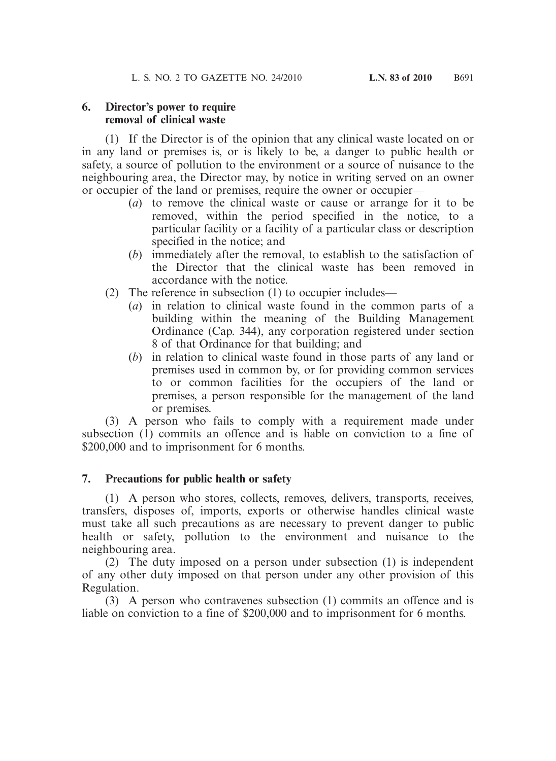#### **6. Director's power to require removal of clinical waste**

 (1) If the Director is of the opinion that any clinical waste located on or in any land or premises is, or is likely to be, a danger to public health or safety, a source of pollution to the environment or a source of nuisance to the neighbouring area, the Director may, by notice in writing served on an owner or occupier of the land or premises, require the owner or occupier—

- (*a*) to remove the clinical waste or cause or arrange for it to be removed, within the period specified in the notice, to a particular facility or a facility of a particular class or description specified in the notice; and
- (*b*) immediately after the removal, to establish to the satisfaction of the Director that the clinical waste has been removed in accordance with the notice.
- (2) The reference in subsection (1) to occupier includes—
	- (*a*) in relation to clinical waste found in the common parts of a building within the meaning of the Building Management Ordinance (Cap. 344), any corporation registered under section 8 of that Ordinance for that building; and
	- (*b*) in relation to clinical waste found in those parts of any land or premises used in common by, or for providing common services to or common facilities for the occupiers of the land or premises, a person responsible for the management of the land or premises.

 (3) A person who fails to comply with a requirement made under subsection (1) commits an offence and is liable on conviction to a fine of \$200,000 and to imprisonment for 6 months.

### **7. Precautions for public health or safety**

 (1) A person who stores, collects, removes, delivers, transports, receives, transfers, disposes of, imports, exports or otherwise handles clinical waste must take all such precautions as are necessary to prevent danger to public health or safety, pollution to the environment and nuisance to the neighbouring area.

 (2) The duty imposed on a person under subsection (1) is independent of any other duty imposed on that person under any other provision of this Regulation.

 (3) A person who contravenes subsection (1) commits an offence and is liable on conviction to a fine of \$200,000 and to imprisonment for 6 months.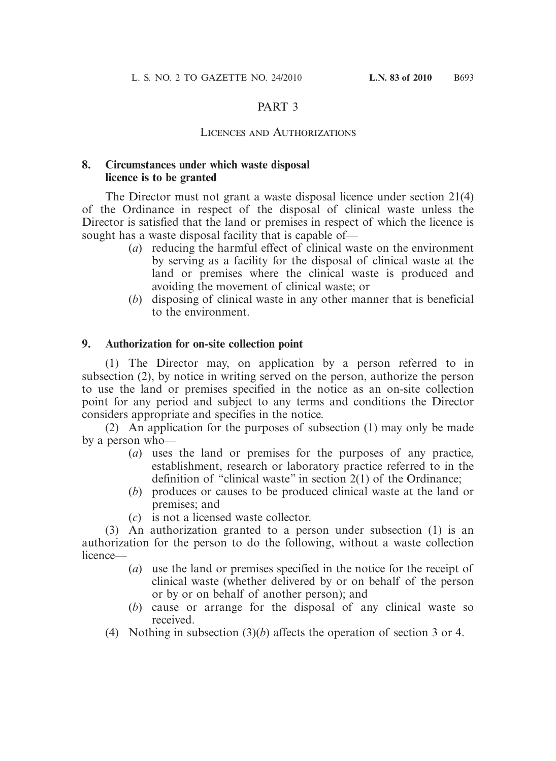### PART 3

#### Licences and Authorizations

#### **8. Circumstances under which waste disposal licence is to be granted**

 The Director must not grant a waste disposal licence under section 21(4) of the Ordinance in respect of the disposal of clinical waste unless the Director is satisfied that the land or premises in respect of which the licence is sought has a waste disposal facility that is capable of—

- (*a*) reducing the harmful effect of clinical waste on the environment by serving as a facility for the disposal of clinical waste at the land or premises where the clinical waste is produced and avoiding the movement of clinical waste; or
- (*b*) disposing of clinical waste in any other manner that is beneficial to the environment.

#### **9. Authorization for on-site collection point**

 (1) The Director may, on application by a person referred to in subsection (2), by notice in writing served on the person, authorize the person to use the land or premises specified in the notice as an on-site collection point for any period and subject to any terms and conditions the Director considers appropriate and specifies in the notice.

 (2) An application for the purposes of subsection (1) may only be made by a person who—

- (*a*) uses the land or premises for the purposes of any practice, establishment, research or laboratory practice referred to in the definition of "clinical waste" in section 2(1) of the Ordinance;
- (*b*) produces or causes to be produced clinical waste at the land or premises; and
- (*c*) is not a licensed waste collector.

 (3) An authorization granted to a person under subsection (1) is an authorization for the person to do the following, without a waste collection licence—

- (*a*) use the land or premises specified in the notice for the receipt of clinical waste (whether delivered by or on behalf of the person or by or on behalf of another person); and
- (*b*) cause or arrange for the disposal of any clinical waste so received.
- (4) Nothing in subsection (3)(*b*) affects the operation of section 3 or 4.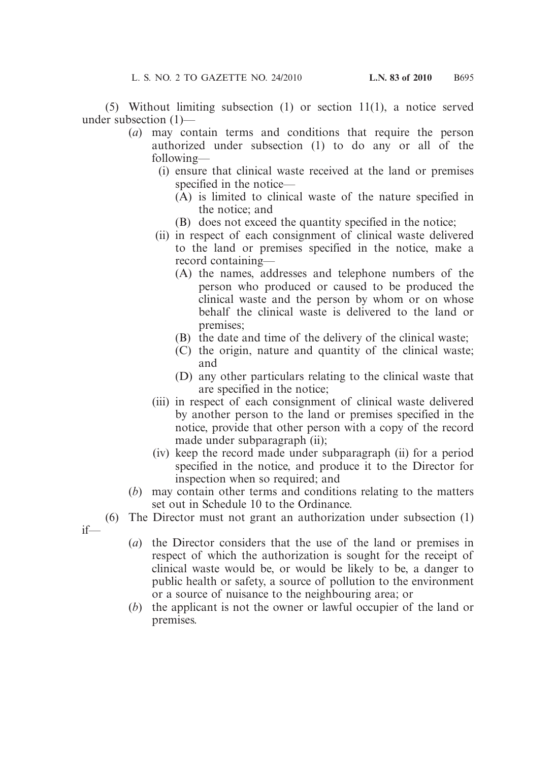(5) Without limiting subsection (1) or section 11(1), a notice served under subsection (1)—

- (*a*) may contain terms and conditions that require the person authorized under subsection (1) to do any or all of the following—
	- (i) ensure that clinical waste received at the land or premises specified in the notice—
		- (A) is limited to clinical waste of the nature specified in the notice; and
		- (B) does not exceed the quantity specified in the notice;
	- (ii) in respect of each consignment of clinical waste delivered to the land or premises specified in the notice, make a record containing—
		- (A) the names, addresses and telephone numbers of the person who produced or caused to be produced the clinical waste and the person by whom or on whose behalf the clinical waste is delivered to the land or premises;
		- (B) the date and time of the delivery of the clinical waste;
		- (C) the origin, nature and quantity of the clinical waste; and
		- (D) any other particulars relating to the clinical waste that are specified in the notice;
	- (iii) in respect of each consignment of clinical waste delivered by another person to the land or premises specified in the notice, provide that other person with a copy of the record made under subparagraph (ii);
	- (iv) keep the record made under subparagraph (ii) for a period specified in the notice, and produce it to the Director for inspection when so required; and
- (*b*) may contain other terms and conditions relating to the matters set out in Schedule 10 to the Ordinance.
- (6) The Director must not grant an authorization under subsection (1)
- if—
- (*a*) the Director considers that the use of the land or premises in respect of which the authorization is sought for the receipt of clinical waste would be, or would be likely to be, a danger to public health or safety, a source of pollution to the environment or a source of nuisance to the neighbouring area; or
- (*b*) the applicant is not the owner or lawful occupier of the land or premises.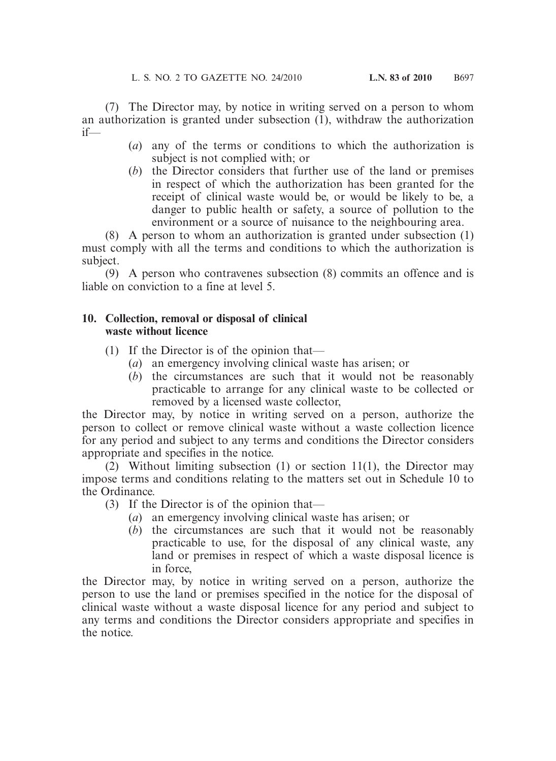(7) The Director may, by notice in writing served on a person to whom an authorization is granted under subsection  $(1)$ , withdraw the authorization if—

- (*a*) any of the terms or conditions to which the authorization is subject is not complied with; or
- (*b*) the Director considers that further use of the land or premises in respect of which the authorization has been granted for the receipt of clinical waste would be, or would be likely to be, a danger to public health or safety, a source of pollution to the environment or a source of nuisance to the neighbouring area.

 (8) A person to whom an authorization is granted under subsection (1) must comply with all the terms and conditions to which the authorization is subject.

 (9) A person who contravenes subsection (8) commits an offence and is liable on conviction to a fine at level 5.

### **10. Collection, removal or disposal of clinical waste without licence**

- (1) If the Director is of the opinion that—
	- (*a*) an emergency involving clinical waste has arisen; or
	- (*b*) the circumstances are such that it would not be reasonably practicable to arrange for any clinical waste to be collected or removed by a licensed waste collector,

the Director may, by notice in writing served on a person, authorize the person to collect or remove clinical waste without a waste collection licence for any period and subject to any terms and conditions the Director considers appropriate and specifies in the notice.

 (2) Without limiting subsection (1) or section 11(1), the Director may impose terms and conditions relating to the matters set out in Schedule 10 to the Ordinance.

(3) If the Director is of the opinion that—

- (*a*) an emergency involving clinical waste has arisen; or
- (*b*) the circumstances are such that it would not be reasonably practicable to use, for the disposal of any clinical waste, any land or premises in respect of which a waste disposal licence is in force,

the Director may, by notice in writing served on a person, authorize the person to use the land or premises specified in the notice for the disposal of clinical waste without a waste disposal licence for any period and subject to any terms and conditions the Director considers appropriate and specifies in the notice.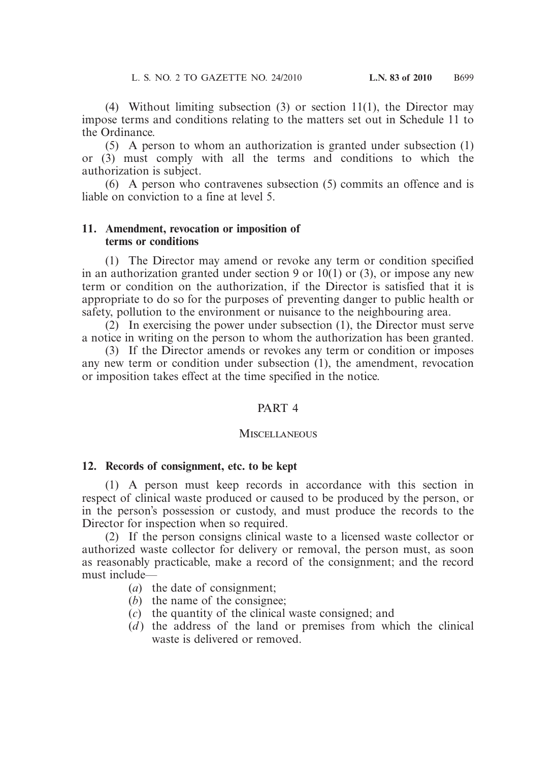(4) Without limiting subsection (3) or section 11(1), the Director may impose terms and conditions relating to the matters set out in Schedule 11 to the Ordinance.

 (5) A person to whom an authorization is granted under subsection (1) or (3) must comply with all the terms and conditions to which the authorization is subject.

 (6) A person who contravenes subsection (5) commits an offence and is liable on conviction to a fine at level 5.

#### **11. Amendment, revocation or imposition of terms or conditions**

 (1) The Director may amend or revoke any term or condition specified in an authorization granted under section 9 or  $10(1)$  or (3), or impose any new term or condition on the authorization, if the Director is satisfied that it is appropriate to do so for the purposes of preventing danger to public health or safety, pollution to the environment or nuisance to the neighbouring area.

 (2) In exercising the power under subsection (1), the Director must serve a notice in writing on the person to whom the authorization has been granted.

 (3) If the Director amends or revokes any term or condition or imposes any new term or condition under subsection (1), the amendment, revocation or imposition takes effect at the time specified in the notice.

### PART 4

#### **MISCELLANEOUS**

#### **12. Records of consignment, etc. to be kept**

 (1) A person must keep records in accordance with this section in respect of clinical waste produced or caused to be produced by the person, or in the person's possession or custody, and must produce the records to the Director for inspection when so required.

 (2) If the person consigns clinical waste to a licensed waste collector or authorized waste collector for delivery or removal, the person must, as soon as reasonably practicable, make a record of the consignment; and the record must include—

- (*a*) the date of consignment;
- (*b*) the name of the consignee;
- (*c*) the quantity of the clinical waste consigned; and
- $(d)$  the address of the land or premises from which the clinical waste is delivered or removed.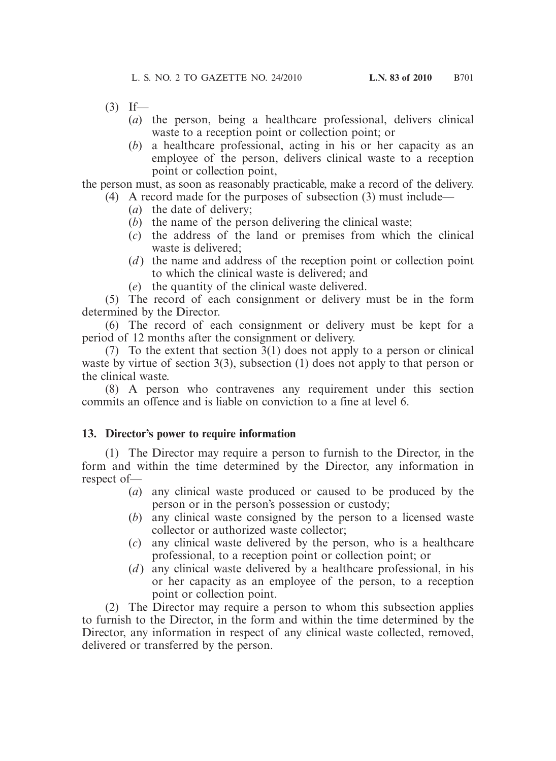- $(3)$  If—
	- (*a*) the person, being a healthcare professional, delivers clinical waste to a reception point or collection point; or
	- (*b*) a healthcare professional, acting in his or her capacity as an employee of the person, delivers clinical waste to a reception point or collection point,

the person must, as soon as reasonably practicable, make a record of the delivery.

- (4) A record made for the purposes of subsection (3) must include—
	- (*a*) the date of delivery;
	- (*b*) the name of the person delivering the clinical waste;
	- (*c*) the address of the land or premises from which the clinical waste is delivered;
	- (*d*) the name and address of the reception point or collection point to which the clinical waste is delivered; and
	- (*e*) the quantity of the clinical waste delivered.

 (5) The record of each consignment or delivery must be in the form determined by the Director.

 (6) The record of each consignment or delivery must be kept for a period of 12 months after the consignment or delivery.

 (7) To the extent that section 3(1) does not apply to a person or clinical waste by virtue of section 3(3), subsection (1) does not apply to that person or the clinical waste.

 (8) A person who contravenes any requirement under this section commits an offence and is liable on conviction to a fine at level 6.

### **13. Director's power to require information**

 (1) The Director may require a person to furnish to the Director, in the form and within the time determined by the Director, any information in respect of—

- (*a*) any clinical waste produced or caused to be produced by the person or in the person's possession or custody;
- (*b*) any clinical waste consigned by the person to a licensed waste collector or authorized waste collector;
- (*c*) any clinical waste delivered by the person, who is a healthcare professional, to a reception point or collection point; or
- (*d*) any clinical waste delivered by a healthcare professional, in his or her capacity as an employee of the person, to a reception point or collection point.

 (2) The Director may require a person to whom this subsection applies to furnish to the Director, in the form and within the time determined by the Director, any information in respect of any clinical waste collected, removed, delivered or transferred by the person.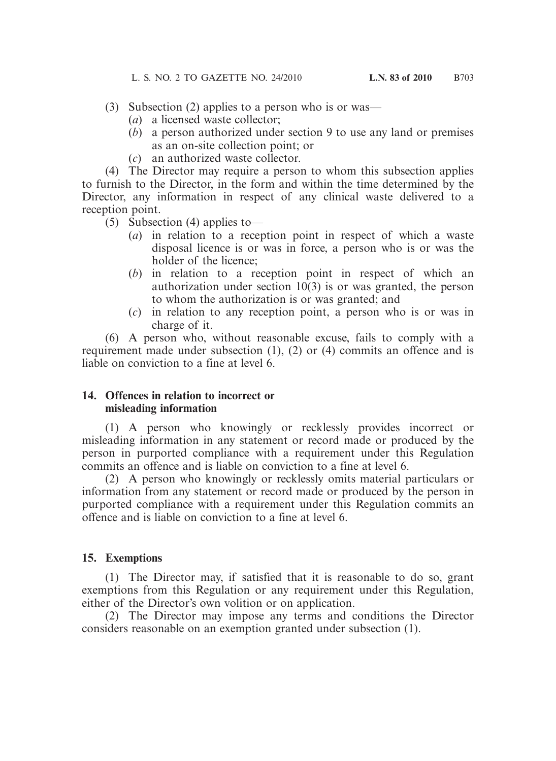- (3) Subsection (2) applies to a person who is or was—
	- (*a*) a licensed waste collector;
	- (*b*) a person authorized under section 9 to use any land or premises as an on-site collection point; or
	- (*c*) an authorized waste collector.

 (4) The Director may require a person to whom this subsection applies to furnish to the Director, in the form and within the time determined by the Director, any information in respect of any clinical waste delivered to a reception point.

- $(5)$  Subsection (4) applies to-
	- (*a*) in relation to a reception point in respect of which a waste disposal licence is or was in force, a person who is or was the holder of the licence;
	- (*b*) in relation to a reception point in respect of which an authorization under section  $10(3)$  is or was granted, the person to whom the authorization is or was granted; and
	- (*c*) in relation to any reception point, a person who is or was in charge of it.

 (6) A person who, without reasonable excuse, fails to comply with a requirement made under subsection (1), (2) or (4) commits an offence and is liable on conviction to a fine at level 6.

#### **14. Offences in relation to incorrect or misleading information**

 (1) A person who knowingly or recklessly provides incorrect or misleading information in any statement or record made or produced by the person in purported compliance with a requirement under this Regulation commits an offence and is liable on conviction to a fine at level 6.

 (2) A person who knowingly or recklessly omits material particulars or information from any statement or record made or produced by the person in purported compliance with a requirement under this Regulation commits an offence and is liable on conviction to a fine at level 6.

#### **15. Exemptions**

 (1) The Director may, if satisfied that it is reasonable to do so, grant exemptions from this Regulation or any requirement under this Regulation, either of the Director's own volition or on application.

 (2) The Director may impose any terms and conditions the Director considers reasonable on an exemption granted under subsection (1).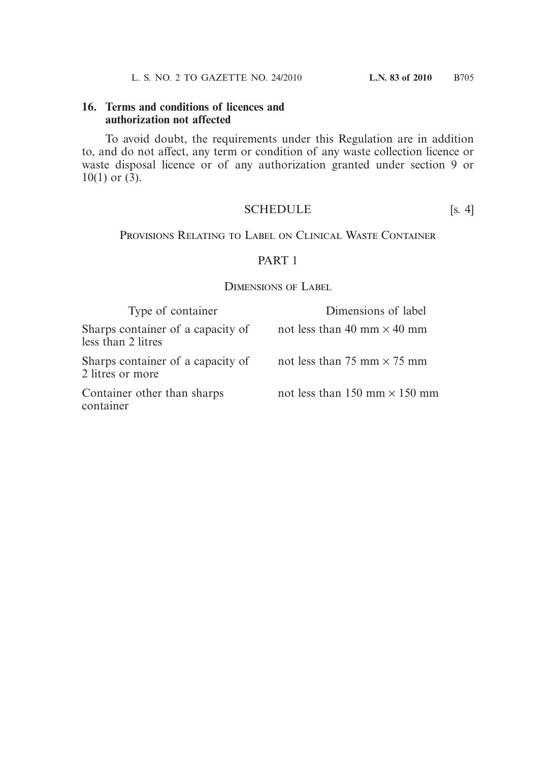#### **16. Terms and conditions of licences and authorization not affected**

 To avoid doubt, the requirements under this Regulation are in addition to, and do not affect, any term or condition of any waste collection licence or waste disposal licence or of any authorization granted under section 9 or  $10(1)$  or  $(3)$ .

#### SCHEDULE [s. 4]

Provisions Relating to Label on Clinical Waste Container

#### PART 1

#### Dimensions of Label

| Type of container                                       | Dimensions of label                  |
|---------------------------------------------------------|--------------------------------------|
| Sharps container of a capacity of<br>less than 2 litres | not less than 40 mm $\times$ 40 mm   |
| Sharps container of a capacity of<br>2 litres or more   | not less than 75 mm $\times$ 75 mm   |
| Container other than sharps<br>container                | not less than 150 mm $\times$ 150 mm |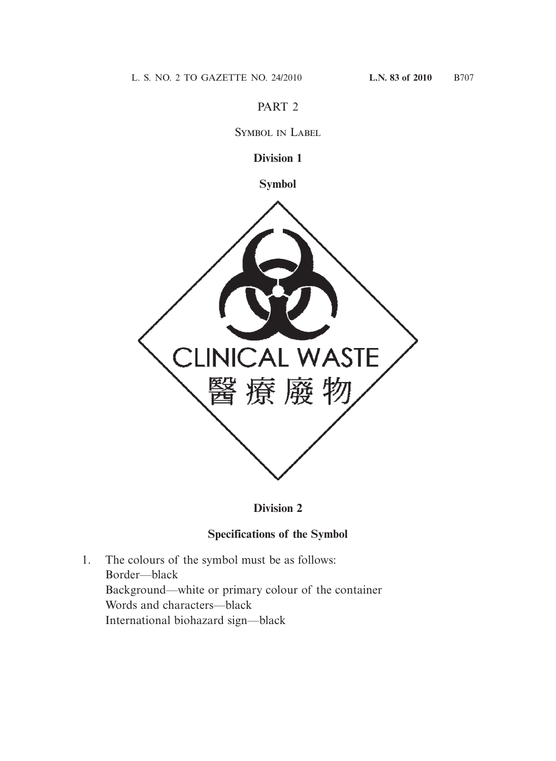### PART 2

Symbol in Label

### **Division 1**

**Symbol**



### **Division 2**

# **Specifications of the Symbol**

1. The colours of the symbol must be as follows: Border—black Background—white or primary colour of the container Words and characters—black International biohazard sign—black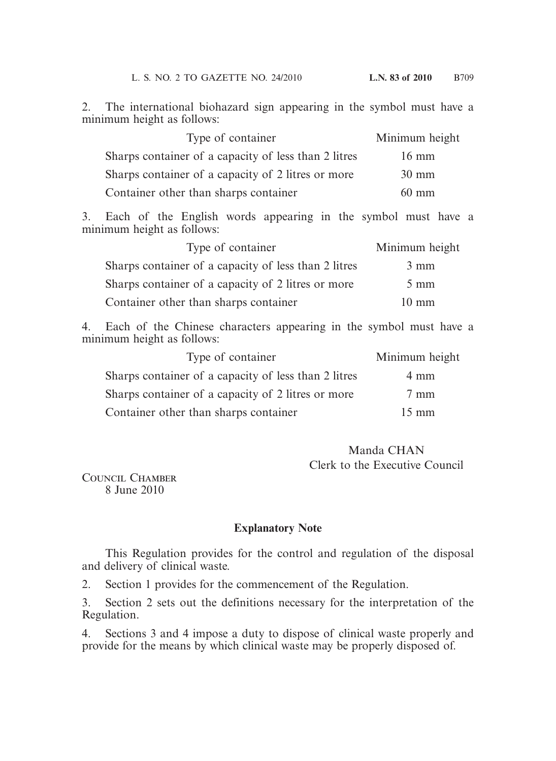2. The international biohazard sign appearing in the symbol must have a minimum height as follows:

| Type of container                                    | Minimum height  |
|------------------------------------------------------|-----------------|
| Sharps container of a capacity of less than 2 litres | $16 \text{ mm}$ |
| Sharps container of a capacity of 2 litres or more   | $30 \text{ mm}$ |
| Container other than sharps container                | $60 \text{ mm}$ |

3. Each of the English words appearing in the symbol must have a minimum height as follows:

| Type of container                                    | Minimum height  |
|------------------------------------------------------|-----------------|
| Sharps container of a capacity of less than 2 litres | $3 \text{ mm}$  |
| Sharps container of a capacity of 2 litres or more   | $5 \text{ mm}$  |
| Container other than sharps container                | $10 \text{ mm}$ |

4. Each of the Chinese characters appearing in the symbol must have a minimum height as follows:

| Type of container                                    | Minimum height  |
|------------------------------------------------------|-----------------|
| Sharps container of a capacity of less than 2 litres | $4 \text{ mm}$  |
| Sharps container of a capacity of 2 litres or more   | $7 \text{ mm}$  |
| Container other than sharps container                | $15 \text{ mm}$ |

### Manda CHAN Clerk to the Executive Council

COUNCIL CHAMBER 8 June 2010

### **Explanatory Note**

 This Regulation provides for the control and regulation of the disposal and delivery of clinical waste.

2. Section 1 provides for the commencement of the Regulation.

3. Section 2 sets out the definitions necessary for the interpretation of the Regulation.

4. Sections 3 and 4 impose a duty to dispose of clinical waste properly and provide for the means by which clinical waste may be properly disposed of.